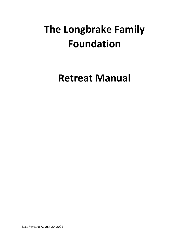# **The Longbrake Family Foundation**

**Retreat Manual**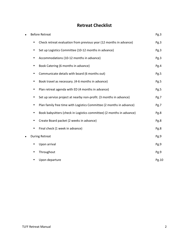# **Retreat Checklist**

| $\bullet$ | <b>Before Retreat</b>                                                      | Pg.3  |
|-----------|----------------------------------------------------------------------------|-------|
|           | Check retreat evaluation from previous year (12 months in advance)<br>٠    | Pg.3  |
|           | Set up Logistics Committee (10-12 months in advance)<br>٠                  | Pg.3  |
|           | Accommodations (10-12 months in advance)<br>٠                              | Pg.3  |
|           | Book Catering (6 months in advance)<br>٠                                   | Pg.4  |
|           | Communicate details with board (6 months out)<br>٠                         | Pg.5  |
|           | Book travel as necessary. (4-6 months in advance)<br>٠                     | Pg.5  |
|           | Plan retreat agenda with ED (4 months in advance)<br>٠                     | Pg.5  |
|           | Set up service project at nearby non-profit. (3 months in advance)<br>٠    | Pg.7  |
|           | Plan family free time with Logistics Committee (2 months in advance)<br>٠  | Pg.7  |
|           | Book babysitters (check in Logistics committee) (2 months in advance)<br>٠ | Pg.8  |
|           | Create Board packet (2 weeks in advance)<br>٠                              | Pg.8  |
|           | Final check (1 week in advance)<br>٠                                       | Pg.8  |
|           | <b>During Retreat</b>                                                      | Pg.9  |
|           | Upon arrival<br>٠                                                          | Pg.9  |
|           | Throughout<br>٠                                                            | Pg.9  |
|           | Upon departure                                                             | Pg.10 |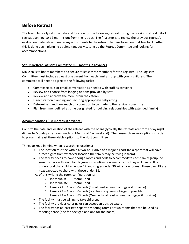# **Before Retreat**

The board typically sets the date and location for the following retreat during the previous retreat. Start retreat planning 10-12 months out from the retreat. The first step is to review the previous retreat's evaluation materials and make any adjustments to the retreat planning based on that feedback. After this is done begin planning by simultaneously setting up the Retreat Committee and looking for accommodations.

#### **Set Up Retreat Logistics Committee (6-8 months in advance)**

Make calls to board members and secure at least three members for the Logistics. The Logistics Committee must include at least one parent from each family group with young children. The committee will need to agree to the following tasks:

- Committee calls or email conversation as needed with staff as convener
- Review and choose from lodging options provided by staff
- Review and approve the menu from the caterer
- Direct staff on planning and securing appropriate babysitting
- Determine if and how much of a donation to be made to the service project site
- Plan free time (defined as time designated for building relationships with extended family)

#### **Accommodations (6-8 months in advance)**

Confirm the date and location of the retreat with the board (typically the retreats are from Friday night dinner to Monday afternoon lunch on Memorial Day weekend). Then research several options in order to present at least three viable options to the Host committee.

Things to keep in mind when researching locations:

- The location must be within a two-hour drive of a major airport (an airport that will have direct flights from whatever location the family may be flying in from).
- The facility needs to have enough rooms and beds to accommodate each family group (be sure to check with each family group to confirm how many rooms they will need). It is understood that children under 18 and singles under 30 will share rooms. Those over 18 are next expected to share with those under 18.

As of this writing the room configuration is:

- $\circ$  Individual #1 1 room/1 bed
- $\circ$  Individual #2 1 room/1 bed
- $\circ$  Family #1 2 rooms/4 beds (1 is at least a queen or bigger if possible)
- $\circ$  Family #2 2 rooms/4 beds (is at least a queen or bigger if possible)
- $\circ$  Family #3 2 rooms/3 beds (One bed is at least a queen or bigger if possible)
- The facility must be willing to take children.
- The facility provides catering or can accept an outside caterer.
- The facility has at least two separate meeting rooms or two rooms that can be used as meeting space (one for next gen and one for the board).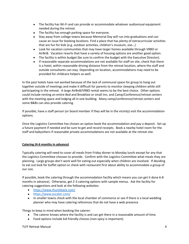- The facility has Wi-Fi and can provide or accommodate whatever audiovisual equipment needed during the retreat.
- The facility has enough parking space for everyone.
- Stay away from college towns because Memorial Day will run into graduations and can cause an issue for booking locations. Find a place that has plenty of extracurricular activities that are fun for kids (e.g. outdoor activities, children's museum, zoo…)
- Look for vacation communities that may have larger homes available through VRBO or AirBnB. Vacation resorts that have a variety of housing options are another good option.
- The facility is within budget (be sure to confirm the budget with the Executive Director).
- If reasonable separate accommodations are not available for staff on site, check that there is a hotel, within reasonable driving distance from the retreat location, where the staff and outside consultants can stay. Depending on location, accommodations may need to be provided for childcare helpers as well.

In the past hotels have not worked because of the lack of communal space for group to hang out together outside of meetings and make it difficult for parents to monitor sleeping children while still participating in the retreat. A large AirBnB/VRBO rental seems to be the best choice. Other options could include renting an entire Bed and Breakfast or small Inn, and Camp/Conference/retreat centers with the meeting space and lodging all in one building. Many camp/conference/retreat centers and some B&Bs can also provide catering.

If possible, have a staff person (or board member if they will be in the vicinity) visit the accommodation options.

Once the Logistics Committee has chosen an option book the accommodation and pay a deposit. Set up a future payment if needed and be sure to get and record receipts. Book a nearby hotel room for the staff and babysitters if reasonable private accommodations are not available at the retreat site.

## **Catering (4-6 months in advance)**

Typically catering will need to cover all meals from Friday dinner to Monday lunch except for any that the Logistics Committee chooses to provide. Confirm with the Logistics Committee what meals they are planning. Large groups don't work well for eating out especially when children are involved. If deciding to eat out look for buffet option or check with restaurant first about ability to accommodate a group of our size.

If possible, book the catering through the accommodation facility which means you can get it done 6-8 months in advance). Otherwise, get 2-3 catering options with sample menus. Ask the facility for catering suggestions and look at the following websites:

- <https://www.thumbtack.com/>
- <https://www.ezcater.com/>
- In smaller towns check with the local chamber of commerce or see if there is a local wedding planner who may have catering references that do not have a web presence

Things to keep in mind when booking the caterer:

- The caterer knows where the facility is and can get there in a reasonable amount of time.
- Food options include kid friendly choices (non-spicy is important).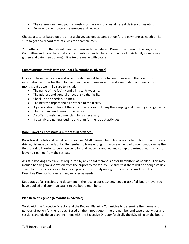- The caterer can meet your requests (such as sack lunches, different delivery times etc....)
- Be sure to check caterer references and reviews

Choose a caterer based on the criteria above, pay deposit and set up future payments as needed. Be sure to get and record receipts. Ask for a sample menu.

2 months out from the retreat plan the menu with the caterer. Present the menu to the Logistics Committee and have them make adjustments as needed based on their and their family's needs (e.g. gluten and dairy free options). Finalize the menu with caterer.

#### **Communicate Details with the Board (6 months in advance)**

Once you have the location and accommodations set be sure to communicate to the board this information in order for them to plan their travel (make sure to send a reminder communication 3 months out as well). Be sure to include:

- The name of the facility and a link to its website.
- The address and general directions to the facility.
- Check-in and check-out times.
- The nearest airport and its distance to the facility.
- A general description of the accommodations including the sleeping and meeting arrangements.
- The start and end times of the retreat.
- An offer to assist in travel planning as necessary.
- If available, a general outline and plan for the retreat activities

#### **Book Travel as Necessary (4-6 months in advance)**

Book travel, hotels and rental car for yourself/staff. Remember if booking a hotel to book it within easy driving distance to the facility. Remember to leave enough time on each end of travel so you can be the first to arrive in order to purchase supplies and snacks as needed and set up the retreat and the last to leave to clean up from the retreat.

Assist in booking any travel as requested by any board members or for babysitters as needed. This may include booking transportation from the airport to the facility. Be sure that there will be enough vehicle space to transport everyone to service projects and family outings. If necessary, work with the Executive Director to plan renting vehicles as needed.

Keep track of all receipts and document in the receipt spreadsheet. Keep track of all board travel you have booked and communicate it to the board members.

#### **Plan Retreat Agenda (4 months in advance)**

Work with the Executive Director and the Retreat Planning Committee to determine the theme and general direction for the retreat. Based on their input determine the number and type of activities and sessions and divide up planning them with the Executive Director (typically the E.D. will plan the board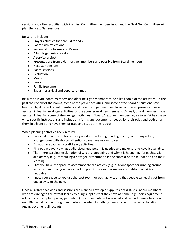sessions and other activities with Planning Committee members input and the Next Gen Committee will plan the Next Gen sessions).

Be sure to include:

- Prayer activities that are kid friendly
- Board faith reflections
- Review of the Norms and Values
- A family game/ice breaker
- A service project
- Presentations from older next gen members and possibly from Board members
- Next Gen sessions
- Board sessions
- Evaluation
- Meals
- Breaks
- Family free time
- Babysitter arrival and departure times

Be sure to invite board members and older next gen members to help lead some of the activities. In the past the review of the norms, some of the prayer activities, and some of the board discussions have been led by different board members and older next gen members have completed presentations and assisted in leading next gen activities for the younger next gen members. As well, board members have assisted in leading some of the next gen activities. If board/next gen members agree to assist be sure to write specific instructions and include any forms and documents needed for their roles and both email them in advance and have them printed and ready at the retreat.

When planning activities keep in mind:

- To include multiple options during a kid's activity (e.g. reading, crafts, something active) so younger ones with shorter attention spans have more choices.
- Do not have too many craft heavy activities.
- Find out in advance what audio-visual equipment is needed and make sure to have it available.
- That there is a clear explanation of what is happening and why it is happening for each session and activity (e.g. introducing a next gen presentation in the context of the foundation and their learning)
- That you have the space to accommodate the activity (e.g. outdoor space for running around activities) and that you have a backup plan if the weather makes any outdoor activities undoable.
- Know your space so you use the best room for each activity and that people can easily get from one activity to the next.

Once all retreat activities and sessions are planned develop a supplies checklist. Ask board members who are driving to the retreat facility to bring supplies that they have at home (e.g. sports equipment, arts and craft supplies, paper, pens etc.…) Document who is bring what and remind them a few days out. Plan what can be brought and determine what if anything needs to be purchased on location. Again, document all receipts.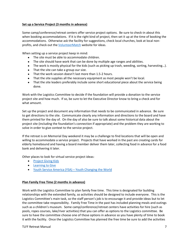#### **Set up a Service Project (3 months in advance)**

Some camp/conference/retreat centers offer service project options. Be sure to check-in about this when booking accommodations. If it is the right kind of project, then set it up at the time of booking the accommodations. Otherwise ask the facility for suggestions, check local churches, look at local nonprofits, and check out the *VolunteerMatch* website for ideas.

When setting up a service project keep in mind:

- The site must be able to accommodate children.
- The site should have work that can be done by multiple age ranges and abilities.
- The work is mostly physical for the kids (such as picking up trash, weeding, sorting, harvesting...).
- That the site can take a group our size.
- That the work session doesn't last more than 1.5-2 hours.
- That the site supplies all the necessary equipment as most people won't be local.
- That the site leaders preferably include some short educational piece about the service being done.

Work with the Logistics Committee to decide if the foundation will provide a donation to the service project site and how much. If so, be sure to let the Executive Director know to bring a check and for what amount.

Set up the project and document any information that needs to be communicated in advance. Be sure to get directions to the site. Communicate clearly any information and directions to the board and have them printed for the day of. On the day of also be sure to talk about some historical data about the project site (including the foundation's connection if appropriate) and the problem they are working to solve in order to give context to the service project.

If the retreat is on Memorial Day weekend it may be a challenge to find locations that will be open and willing to accommodate a service project. Projects that have worked in the past are creating cards for elderly homebound and having a board member deliver them later, collecting food in advance for a food bank and delivering it later.

Other places to look for virtual service project ideas:

- [Project Giving Kids](https://www.projectgivingkids.org/)
- [Learning to Give](https://www.learningtogive.org/)
- [Youth Service America \(YSA\)](https://ysa.org/)  Youth Changing the World

#### **Plan Family Free Time (2 months in advance)**

Work with the Logistics Committee to plan family free time. This time is designated for building relationships with the extended family, so activities should be designed to include everyone. This is the Logistics Committee's main task, so the staff person's job is to encourage it and provide ideas but to let the committee take responsibility. Family Free Time in the past has included planning meals and outings such as a children's museum. Some camp/conference/retreat centers have activities for hire (such as pools, ropes courses, lake/river activities) that you can offer as options to the Logistics committee. Be sure to have the committee choose one of those options in advance so you have plenty of time to book it with the facility. Once the Logistics Committee has planned the free time be sure to add the activities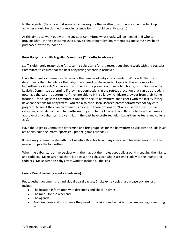to the agenda. (Be aware that some activities require the weather to cooperate so either back up activities should be planned or moving agenda items should be anticipated.)

At this time also work out with the Logistics Committee what snacks will be needed and who can provide what. In the past some snacks have been brought by family members and some have been purchased by the foundation.

#### **Book Babysitters with Logistics Committee (2 months in advance)**

Staff is ultimately responsible for securing babysitting for the retreat but should work with the Logistics Committee to ensure that the best babysitting scenario is achieved.

Have the Logistics Committee determine the number of babysitters needed. Work with them on determining the schedule for the babysitters based on the agenda. Typically, there is one or two babysitters for infants/toddlers and another for the pre-school to middle school group. First have the Logistics Committee determine if they have connections in the retreat's location that can be utilized. If not, have the parents determine if they are able to bring a known childcare provider from their home location. If the Logistics Committee is unable to secure babysitters, then check with the facility if they have connections for babysitters. You can also check local licensed preschool/afterschool day care programs to see if they can recommend anyone. If those options don't work use websites such as care.com, sittercity.com, and babysitterregistry.com to book babysitters. Be sure to have the parents approve of any babysitter choices (kids in the past have preferred adult babysitters vs teens and college age).

Have the Logistics Committee determine and bring supplies for the babysitters to use with the kids (such as: books, coloring, crafts, sports equipment, games, videos…).

If necessary, communicate with the Executive Director how many checks and for what amount will be needed to pay the babysitters.

When the babysitters arrive be clear with them about their roles especially around managing the infants and toddlers. Make sure that there is at least one babysitter who is assigned solely to the infants and toddlers. Make sure the babysitters work to include all the kids.

#### **Create Board Packet (2 weeks in advance)**

Put together documents for individual board packets (make extra copies just in case any are lost). Include:

- The location information with directions and check-in times
- The menu for the weekend
- The agenda
- Any directions and documents they need for sessions and activities they are leading or assisting with.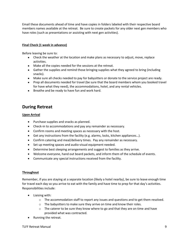Email these documents ahead of time and have copies in folders labeled with their respective board members names available at the retreat. Be sure to create packets for any older next gen members who have roles (such as presentations or assisting with next gen activities).

## **Final Check (1 week in advance)**

Before leaving be sure to:

- Check the weather at the location and make plans as necessary to adjust, move, replace activities.
- Make all the copies needed for the sessions at the retreat.
- Gather the supplies and remind those bringing supplies what they agreed to bring (including snacks).
- Make sure all checks needed to pay for babysitters or donate to the service project are ready.
- Prep all documents needed for travel (be sure that the board members whom you booked travel for have what they need), the accommodations, hotel, and any rental vehicles.
- Breathe and be ready to have fun and work hard.

# **During Retreat**

## **Upon Arrival**

- Purchase supplies and snacks as planned.
- Check-in to accommodations and pay any remainder as necessary.
- Confirm rooms and meeting spaces as necessary with the host.
- Get any instructions from the facility (e.g. alarms, locks, kitchen appliances…).
- Confirm catering and meal/delivery times. Pay any remainder as necessary.
- Set up meeting spaces and audio-visual equipment needed.
- Determine best sleeping arrangements and suggest to families as they arrive.
- Welcome everyone, hand out board packets, and inform them of the schedule of events.
- Communicate any special instructions received from the facility.

## **Throughout**

Remember, if you are staying at a separate location (likely a hotel nearby), be sure to leave enough time for travel each day so you arrive to eat with the family and have time to prep for that day's activities. Responsibilities include:

- Liaising with:
	- $\circ$  The accommodation staff to report any issues and questions and to get them resolved.
	- $\circ$  The babysitters to make sure they arrive on time and know their roles.
	- $\circ$  The caterer to be sure they know where to go and that they are on time and have provided what was contracted.
- Running the retreat.